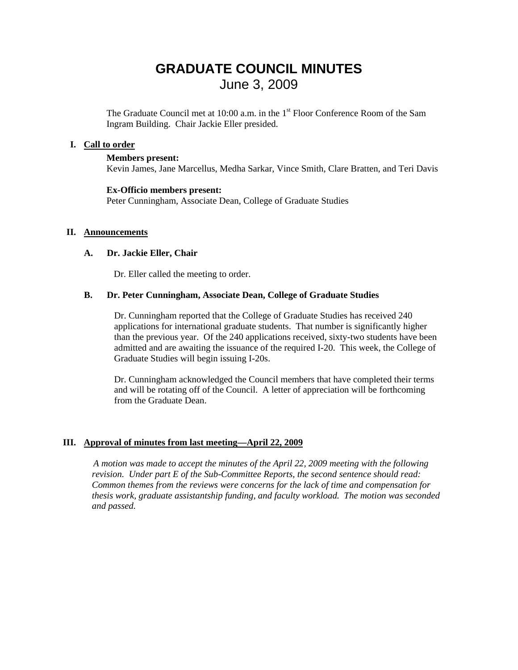# **GRADUATE COUNCIL MINUTES**  June 3, 2009

The Graduate Council met at  $10:00$  a.m. in the  $1<sup>st</sup>$  Floor Conference Room of the Sam Ingram Building. Chair Jackie Eller presided.

### **I. Call to order**

#### **Members present:**

Kevin James, Jane Marcellus, Medha Sarkar, Vince Smith, Clare Bratten, and Teri Davis

#### **Ex-Officio members present:**

Peter Cunningham, Associate Dean, College of Graduate Studies

#### **II. Announcements**

#### **A. Dr. Jackie Eller, Chair**

Dr. Eller called the meeting to order.

#### **B. Dr. Peter Cunningham, Associate Dean, College of Graduate Studies**

Dr. Cunningham reported that the College of Graduate Studies has received 240 applications for international graduate students. That number is significantly higher than the previous year. Of the 240 applications received, sixty-two students have been admitted and are awaiting the issuance of the required I-20. This week, the College of Graduate Studies will begin issuing I-20s.

Dr. Cunningham acknowledged the Council members that have completed their terms and will be rotating off of the Council. A letter of appreciation will be forthcoming from the Graduate Dean.

### **III. Approval of minutes from last meeting—April 22, 2009**

 *A motion was made to accept the minutes of the April 22, 2009 meeting with the following revision. Under part E of the Sub-Committee Reports, the second sentence should read: Common themes from the reviews were concerns for the lack of time and compensation for thesis work, graduate assistantship funding, and faculty workload. The motion was seconded and passed.*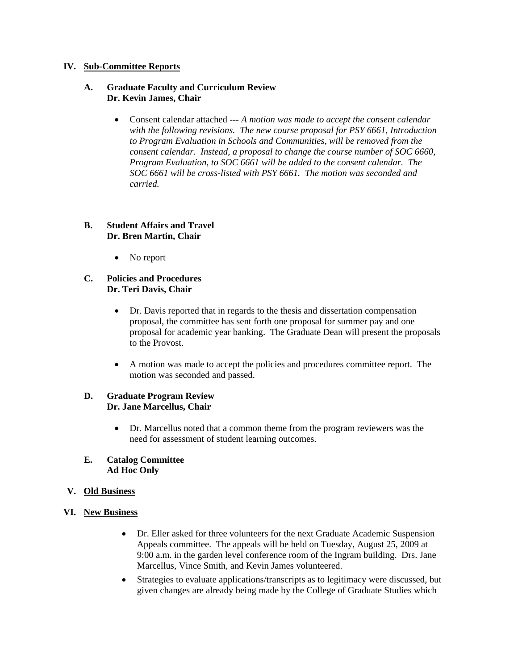### **IV. Sub-Committee Reports**

#### **A. Graduate Faculty and Curriculum Review Dr. Kevin James, Chair**

• Consent calendar attached --- *A motion was made to accept the consent calendar with the following revisions. The new course proposal for PSY 6661, Introduction to Program Evaluation in Schools and Communities, will be removed from the consent calendar. Instead, a proposal to change the course number of SOC 6660, Program Evaluation, to SOC 6661 will be added to the consent calendar. The SOC 6661 will be cross-listed with PSY 6661. The motion was seconded and carried.* 

### **B. Student Affairs and Travel Dr. Bren Martin, Chair**

• No report

### **C. Policies and Procedures Dr. Teri Davis, Chair**

- Dr. Davis reported that in regards to the thesis and dissertation compensation proposal, the committee has sent forth one proposal for summer pay and one proposal for academic year banking. The Graduate Dean will present the proposals to the Provost.
- A motion was made to accept the policies and procedures committee report. The motion was seconded and passed.

### **D. Graduate Program Review Dr. Jane Marcellus, Chair**

• Dr. Marcellus noted that a common theme from the program reviewers was the need for assessment of student learning outcomes.

### **E. Catalog Committee Ad Hoc Only**

### **V. Old Business**

- **VI. New Business**
	- Dr. Eller asked for three volunteers for the next Graduate Academic Suspension Appeals committee. The appeals will be held on Tuesday, August 25, 2009 at 9:00 a.m. in the garden level conference room of the Ingram building. Drs. Jane Marcellus, Vince Smith, and Kevin James volunteered.
	- Strategies to evaluate applications/transcripts as to legitimacy were discussed, but given changes are already being made by the College of Graduate Studies which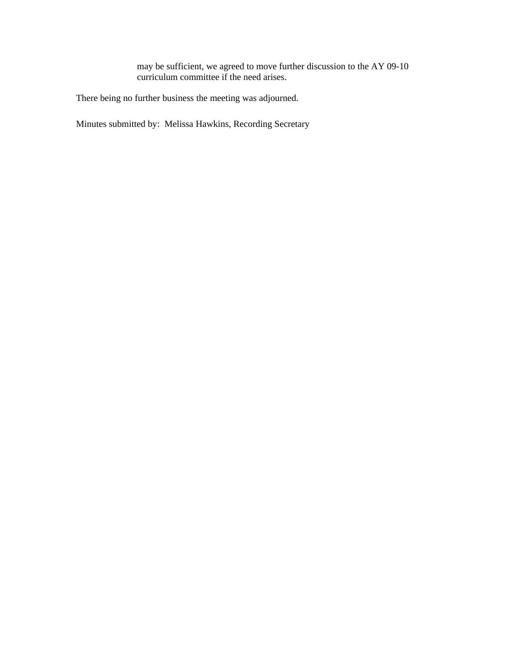may be sufficient, we agreed to move further discussion to the AY 09-10 curriculum committee if the need arises.

There being no further business the meeting was adjourned.

Minutes submitted by: Melissa Hawkins, Recording Secretary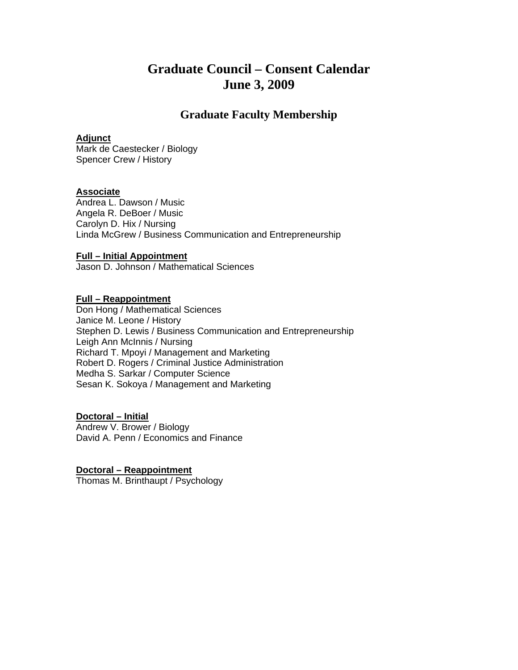## **Graduate Council – Consent Calendar June 3, 2009**

### **Graduate Faculty Membership**

### **Adjunct**

Mark de Caestecker / Biology Spencer Crew / History

#### **Associate**

Andrea L. Dawson / Music Angela R. DeBoer / Music Carolyn D. Hix / Nursing Linda McGrew / Business Communication and Entrepreneurship

#### **Full – Initial Appointment**

Jason D. Johnson / Mathematical Sciences

### **Full – Reappointment**

Don Hong / Mathematical Sciences Janice M. Leone / History Stephen D. Lewis / Business Communication and Entrepreneurship Leigh Ann McInnis / Nursing Richard T. Mpoyi / Management and Marketing Robert D. Rogers / Criminal Justice Administration Medha S. Sarkar / Computer Science Sesan K. Sokoya / Management and Marketing

### **Doctoral – Initial**

Andrew V. Brower / Biology David A. Penn / Economics and Finance

**Doctoral – Reappointment** Thomas M. Brinthaupt / Psychology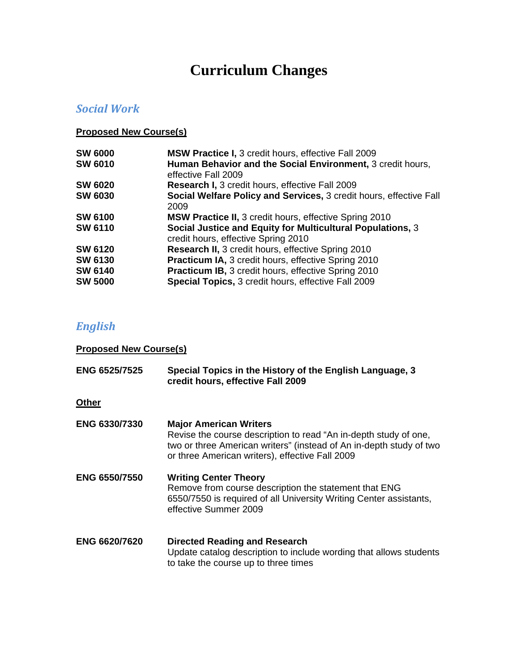# **Curriculum Changes**

### *Social Work*

### **Proposed New Course(s)**

| <b>SW 6000</b> | <b>MSW Practice I, 3 credit hours, effective Fall 2009</b>                                        |
|----------------|---------------------------------------------------------------------------------------------------|
| <b>SW 6010</b> | Human Behavior and the Social Environment, 3 credit hours,<br>effective Fall 2009                 |
| <b>SW 6020</b> | Research I, 3 credit hours, effective Fall 2009                                                   |
| <b>SW 6030</b> | Social Welfare Policy and Services, 3 credit hours, effective Fall<br>2009                        |
| <b>SW 6100</b> | <b>MSW Practice II, 3 credit hours, effective Spring 2010</b>                                     |
| <b>SW 6110</b> | Social Justice and Equity for Multicultural Populations, 3<br>credit hours, effective Spring 2010 |
| <b>SW 6120</b> | Research II, 3 credit hours, effective Spring 2010                                                |
| <b>SW 6130</b> | <b>Practicum IA, 3 credit hours, effective Spring 2010</b>                                        |
| <b>SW 6140</b> | <b>Practicum IB, 3 credit hours, effective Spring 2010</b>                                        |
| <b>SW 5000</b> | Special Topics, 3 credit hours, effective Fall 2009                                               |

# *English*

| <b>Proposed New Course(s)</b> |                                                                                                                                                                                                                             |
|-------------------------------|-----------------------------------------------------------------------------------------------------------------------------------------------------------------------------------------------------------------------------|
| <b>ENG 6525/7525</b>          | Special Topics in the History of the English Language, 3<br>credit hours, effective Fall 2009                                                                                                                               |
| <b>Other</b>                  |                                                                                                                                                                                                                             |
| <b>ENG 6330/7330</b>          | <b>Major American Writers</b><br>Revise the course description to read "An in-depth study of one,<br>two or three American writers" (instead of An in-depth study of two<br>or three American writers), effective Fall 2009 |
| <b>ENG 6550/7550</b>          | <b>Writing Center Theory</b><br>Remove from course description the statement that ENG<br>6550/7550 is required of all University Writing Center assistants,<br>effective Summer 2009                                        |
| <b>ENG 6620/7620</b>          | <b>Directed Reading and Research</b><br>Update catalog description to include wording that allows students<br>to take the course up to three times                                                                          |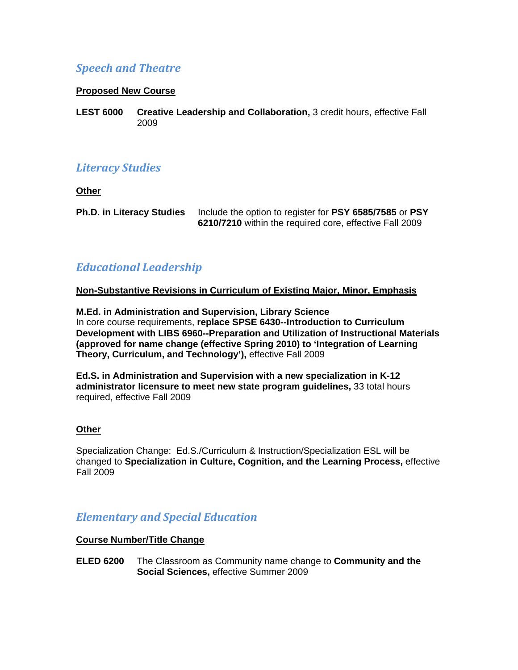### *Speech and Theatre*

### **Proposed New Course**

**LEST 6000 Creative Leadership and Collaboration,** 3 credit hours, effective Fall 2009

### *Literacy Studies*

**Other**

**Ph.D. in Literacy Studies** Include the option to register for **PSY 6585/7585** or **PSY 6210/7210** within the required core, effective Fall 2009

### *Educational Leadership*

### **Non-Substantive Revisions in Curriculum of Existing Major, Minor, Emphasis**

**M.Ed. in Administration and Supervision, Library Science**  In core course requirements, **replace SPSE 6430--Introduction to Curriculum Development with LIBS 6960--Preparation and Utilization of Instructional Materials (approved for name change (effective Spring 2010) to 'Integration of Learning Theory, Curriculum, and Technology'),** effective Fall 2009

**Ed.S. in Administration and Supervision with a new specialization in K-12 administrator licensure to meet new state program guidelines,** 33 total hours required, effective Fall 2009

### **Other**

Specialization Change: Ed.S./Curriculum & Instruction/Specialization ESL will be changed to **Specialization in Culture, Cognition, and the Learning Process,** effective Fall 2009

### *Elementary and Special Education*

### **Course Number/Title Change**

**ELED 6200** The Classroom as Community name change to **Community and the Social Sciences,** effective Summer 2009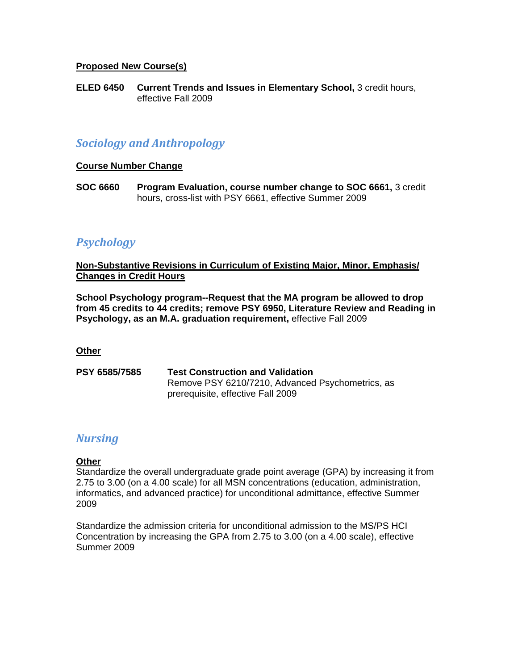### **Proposed New Course(s)**

**ELED 6450 Current Trends and Issues in Elementary School,** 3 credit hours, effective Fall 2009

### *Sociology and Anthropology*

### **Course Number Change**

**SOC 6660 Program Evaluation, course number change to SOC 6661,** 3 credit hours, cross-list with PSY 6661, effective Summer 2009

### *Psychology*

**Non-Substantive Revisions in Curriculum of Existing Major, Minor, Emphasis/ Changes in Credit Hours**

**School Psychology program--Request that the MA program be allowed to drop from 45 credits to 44 credits; remove PSY 6950, Literature Review and Reading in Psychology, as an M.A. graduation requirement,** effective Fall 2009

### **Other**

**PSY 6585/7585 Test Construction and Validation**  Remove PSY 6210/7210, Advanced Psychometrics, as prerequisite, effective Fall 2009

### *Nursing*

### **Other**

Standardize the overall undergraduate grade point average (GPA) by increasing it from 2.75 to 3.00 (on a 4.00 scale) for all MSN concentrations (education, administration, informatics, and advanced practice) for unconditional admittance, effective Summer 2009

Standardize the admission criteria for unconditional admission to the MS/PS HCI Concentration by increasing the GPA from 2.75 to 3.00 (on a 4.00 scale), effective Summer 2009